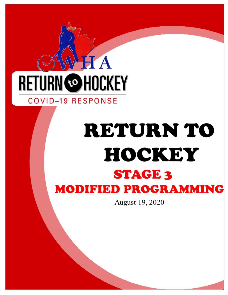# H A **RETURN @HOCKEY**

### **COVID-19 RESPONSE**

## **RETURN TO** HOCKEY **STAGE 3 MODIFIED PROGRAMMING**

August 19, 2020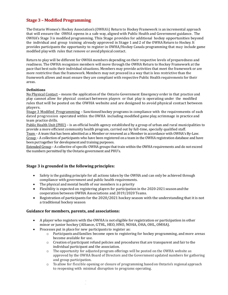#### **Stage 3 – Modified Programming**

TheOntario Women's Hockey Association's (OWHA's) Return to Hockey Framework is an incremental approach that will ensure the OWHA opens in a safe way, aligned with Public Health and Government guidance. The OWHA's Stage 3 is modified programming. This Stage provides for additional hockey opportunities beyond the individual and group training already approved in Stage 1 and 2 of the OWHA Return to Hockey. It provides participants the opportunity to register in OWHA/Hockey Canada programming that may include game modified play with rules that remove or avoid physical contact.

Return to play will be different for OWHA members depending on their respective levels of preparedness and readiness. The OWHA recognizes members will move through the OWHA Return to Hockey Framework at the pace that best suits their individual situations. Members may provide activities that meet the framework or are more restrictive than the framework. Members may not proceed in a way that is less restrictive than the framework allows and must ensure they are compliant with respective Public Health requirements for their areas.

#### **Definitions**

No Physical Contact – means the applicationof the Ontario Government Emergency order in that practice and play cannot allow for physical contact between players or that play is operating under the modified rules that will be posted on the OWHA website and are designed to avoid physical contact between players.

Stage 3 Modified Programming – Sanctionedhockey programs in compliance with the requirements of each dated progression operated within the OWHA including modified game play, scrimmage in practice and team practice drills.

Public Health Unit (PHU) – is an official health agency established by a group of urban and rural municipalities to provide a more efficient community health program, carried out by full-time, specially qualified staff.

Team – A team that has been admitted as a Member or renewed as a Member in accordance with OWHA's By-Law. Group – A collection of participants who have been registered on a team in the OWHA registration database and have been put together for development and training purposes.

Extended Group – A collective of specific OWHA groups that train within the OWHA requirements and do not exceed the numbers permitted by the Ontario government and PHU's.

#### **Stage 3 is grounded in the following principles:**

- Safety is the guiding principle for all actions taken by the OWHA and can only be achieved through compliance with government and public health requirements.
- The physical and mental health of our members is a priority
- Flexibility is expected on registering players for participation in the 2020-2021 season and the cooperation between OWHA Associations and 2019/2020 Teams.
- Registration of participants for the 2020/2021 hockey season with the understanding that it is not a traditional hockey season

#### **Guidance for members, parents, and associations:**

- A player who registers with the OWHA is not eligible for registration or participation in other minor or junior hockey (Alliance, GTHL, HEO, HNO, NOHA, OHA, OHL, OMHA).
- Processes put in place for new participants to register as:
	- $\circ$  Participants and families become open to registering for hockey programming, and more arenas become available for use.
	- o Creation of participant refund policies and procedures that are transparent and fair to the individual participant and the association.
	- o The opportunity for adjusted program offerings will be posted on the OWHA website as approved by the OWHA Board of Directors and the Government updated numbers for gathering and group participation.
	- o To allow for flexible opening or closure of programming basedon Ontario's regional approach to reopening with minimal disruption to programs operating.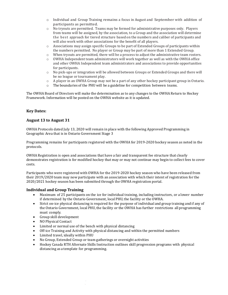- o Individual and Group Training remains a focus in August and September with addition of participants as permitted.
- o No tryouts are permitted. Teams may be formed for administrative purposes only. Players from teams will be assigned, by the association, to a Group and the association will determine the best approach for tiered structure based on the numbers and caliber of participants and will also work with other associations for the benefit of all players.
- $\circ$  Associations may assign specific Groups to be part of Extended Groups of participants within the numbers permitted. No player or Group may be part of more than 1 Extended Group.
- o When tryouts are permitted, there will be a process to adjust the administrative team rosters.
- $\circ$  OWHA Independent team administrators will work together as well as with the OWHA office and other OWHA Independent team administrators and associations to provide opportunities for participants.
- o No pick-ups or integration will be allowed between Groups or Extended Groups and there will be no league or tournament play.
- o A player in an OWHA Group may not be a part of any other hockey participant group in Ontario.
- $\circ$  The boundaries of the PHU will be a guideline for competition between teams.

The OWHA Board of Directors will make the determination as to any changes to the OWHA Return to Hockey Framework. Information will be posted on the OWHA website as it is updated.

#### **Key Dates:**

#### **August 13 to August 31**

OWHA Protocols dated July 13, 2020 will remain in place with the following Approved Programming in Geographic Area that is in Ontario Government Stage 3

Programming remains for participants registered with the OWHA for 2019-2020 hockey season as noted in the protocols.

OWHA Registration is open and associations that have a fair and transparent fee structure that clearly demonstrates registration is for modified hockey that may or may not continue may begin to collect fees to cover costs.

Participants who were registered with OWHA for the 2019-2020 hockey season who have been released from their 2019/2020 team may now participate with an association with which their intent of registration for the 2020/2021 hockey season has been submitted through the OWHA registration portal.

#### **Individual and Group Training**

- Maximum of 25 participants on the ice for individual training, including instructors, or a lower number if determined by the Ontario Government, local PHU, the facility or the OWHA.
- Strict on-ice physical distancing is required for the purpose of individual and group training and if any of the Ontario Government, local PHU, the facility or the OWHA has further restrictions all programming must comply.
- Group skill development
- NO Physical Contact
- Limited or normal use of the bench with physical distancing
- Off-ice Training and Activity with physical distancing and within the permitted numbers
- Limited travel, ideally within PHU
- No Group, Extended Group or team gatherings or overnight activities
- Hockey Canada RTH Alternate Skills Instruction outlines skill progression programs with physical distancing as a template for programming.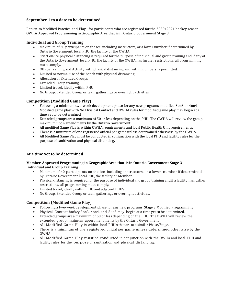#### **September 1 to a date to be determined**

Return to Modified Practice and Play - for participants who are registered for the 2020/2021 hockey season OWHA Approved Programming in GeographicArea that is in Ontario Government Stage 3

#### **Individual and Group Training**

- Maximum of 30 participants on the ice, including instructors, or a lower number if determined by Ontario Government, local PHU, the facility or the OWHA.
- Strict on-ice physical distancing is required for the purpose of individual and group training and if any of the Ontario Government, local PHU, the facility or the OWHA has further restrictions, all programming must comply.
- Off-ice Training and Activity with physical distancing and within numbers is permitted.
- Limited or normal use of the bench with physical distancing
- Allocation of Extended Groups
- Extended Group training
- Limited travel, ideally within PHU
- No Group, Extended Group or team gatherings or overnight activities.

#### **Competition (Modified Game Play)**

- Following a minimum two-week development phase for any new programs, modified 3on3 or 4on4 Modified game play with No Physical Contact and OWHA rules for modified game play may begin at a time yet to be determined.
- Extended groups are a maximum of 50 or less depending on the PHU. The OWHA will review the group maximum upon amendments by the Ontario Government.
- All modified Game Play is within OWHA requirements and local Public Health Unit requirements.
- There is a minimum of one registered official per game unless determined otherwise by the OWHA.
- All Modified Game Play must be conducted in conjunction with the local PHU and facility rules for the purpose of sanitization and physical distancing.

#### **At a time yet to be determined**

#### **Member Approved Programming in GeographicArea that is in Ontario Government Stage 3 Individual and Group Training**

- Maximum of 40 participants on the ice, including instructors, or a lower number if determined by Ontario Government, local PHU, the facility or Member.
- Physical distancing is required for the purpose of individual and group training and if a facility has further restrictions, all programming must comply.
- Limited travel, ideally within PHU and adjacent PHU's
- No Group, Extended Group or team gatherings or overnight activities.

#### **Competition (Modified Game Play)**

- Following a two-week development phase for any new programs, Stage 3 Modified Programming.
- Physical Contact hockey 3on3, 4on4, and 5on5 may begin at a time yet to be determined.
- Extended groups are a maximum of 50 or less depending on the PHU. TheOWHA will review the extended group maximum upon amendments by the Ontario Government.
- All Modified Game Play is within local PHU's that are at a similar Phase/Stage.
- There is a minimum of one registered official per game unless determined otherwise by the OWHA
- All Modified Game Play must be conducted in conjunction with the OWHA and local PHU and facility rules for the purpose of sanitization and physical distancing.